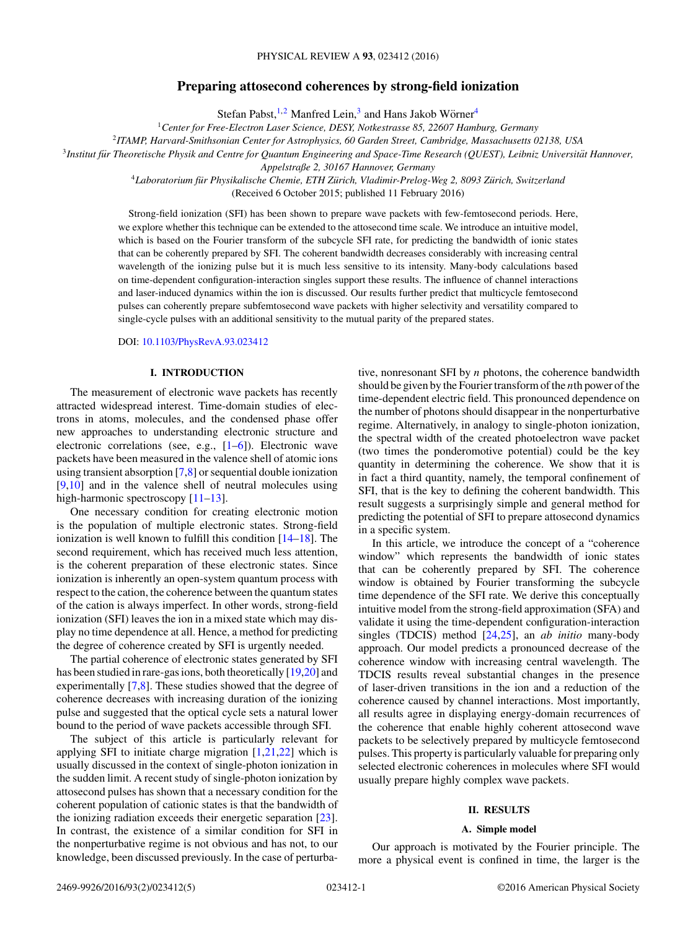# **Preparing attosecond coherences by strong-field ionization**

Stefan Pabst,<sup>1,2</sup> Manfred Lein,<sup>3</sup> and Hans Jakob Wörner<sup>4</sup>

<sup>1</sup>*Center for Free-Electron Laser Science, DESY, Notkestrasse 85, 22607 Hamburg, Germany*

<sup>2</sup>*ITAMP, Harvard-Smithsonian Center for Astrophysics, 60 Garden Street, Cambridge, Massachusetts 02138, USA*

<sup>3</sup>Institut für Theoretische Physik and Centre for Quantum Engineering and Space-Time Research (QUEST), Leibniz Universität Hannover,

*Appelstraße 2, 30167 Hannover, Germany*

<sup>4</sup>*Laboratorium fur Physikalische Chemie, ETH Z ¨ urich, Vladimir-Prelog-Weg 2, 8093 Z ¨ urich, Switzerland ¨* (Received 6 October 2015; published 11 February 2016)

Strong-field ionization (SFI) has been shown to prepare wave packets with few-femtosecond periods. Here, we explore whether this technique can be extended to the attosecond time scale. We introduce an intuitive model, which is based on the Fourier transform of the subcycle SFI rate, for predicting the bandwidth of ionic states that can be coherently prepared by SFI. The coherent bandwidth decreases considerably with increasing central wavelength of the ionizing pulse but it is much less sensitive to its intensity. Many-body calculations based on time-dependent configuration-interaction singles support these results. The influence of channel interactions and laser-induced dynamics within the ion is discussed. Our results further predict that multicycle femtosecond pulses can coherently prepare subfemtosecond wave packets with higher selectivity and versatility compared to single-cycle pulses with an additional sensitivity to the mutual parity of the prepared states.

DOI: [10.1103/PhysRevA.93.023412](http://dx.doi.org/10.1103/PhysRevA.93.023412)

# **I. INTRODUCTION**

The measurement of electronic wave packets has recently attracted widespread interest. Time-domain studies of electrons in atoms, molecules, and the condensed phase offer new approaches to understanding electronic structure and electronic correlations (see, e.g., [\[1–6\]](#page-4-0)). Electronic wave packets have been measured in the valence shell of atomic ions using transient absorption [\[7,8\]](#page-4-0) or sequential double ionization [\[9,10\]](#page-4-0) and in the valence shell of neutral molecules using high-harmonic spectroscopy [\[11–13\]](#page-4-0).

One necessary condition for creating electronic motion is the population of multiple electronic states. Strong-field ionization is well known to fulfill this condition [\[14–18\]](#page-4-0). The second requirement, which has received much less attention, is the coherent preparation of these electronic states. Since ionization is inherently an open-system quantum process with respect to the cation, the coherence between the quantum states of the cation is always imperfect. In other words, strong-field ionization (SFI) leaves the ion in a mixed state which may display no time dependence at all. Hence, a method for predicting the degree of coherence created by SFI is urgently needed.

The partial coherence of electronic states generated by SFI has been studied in rare-gas ions, both theoretically [\[19,20\]](#page-4-0) and experimentally [\[7,8\]](#page-4-0). These studies showed that the degree of coherence decreases with increasing duration of the ionizing pulse and suggested that the optical cycle sets a natural lower bound to the period of wave packets accessible through SFI.

The subject of this article is particularly relevant for applying SFI to initiate charge migration  $[1,21,22]$  which is usually discussed in the context of single-photon ionization in the sudden limit. A recent study of single-photon ionization by attosecond pulses has shown that a necessary condition for the coherent population of cationic states is that the bandwidth of the ionizing radiation exceeds their energetic separation [\[23\]](#page-4-0). In contrast, the existence of a similar condition for SFI in the nonperturbative regime is not obvious and has not, to our knowledge, been discussed previously. In the case of perturbative, nonresonant SFI by *n* photons, the coherence bandwidth should be given by the Fourier transform of the *n*th power of the time-dependent electric field. This pronounced dependence on the number of photons should disappear in the nonperturbative regime. Alternatively, in analogy to single-photon ionization, the spectral width of the created photoelectron wave packet (two times the ponderomotive potential) could be the key quantity in determining the coherence. We show that it is in fact a third quantity, namely, the temporal confinement of SFI, that is the key to defining the coherent bandwidth. This result suggests a surprisingly simple and general method for predicting the potential of SFI to prepare attosecond dynamics in a specific system.

In this article, we introduce the concept of a "coherence window" which represents the bandwidth of ionic states that can be coherently prepared by SFI. The coherence window is obtained by Fourier transforming the subcycle time dependence of the SFI rate. We derive this conceptually intuitive model from the strong-field approximation (SFA) and validate it using the time-dependent configuration-interaction singles (TDCIS) method [\[24,25\]](#page-4-0), an *ab initio* many-body approach. Our model predicts a pronounced decrease of the coherence window with increasing central wavelength. The TDCIS results reveal substantial changes in the presence of laser-driven transitions in the ion and a reduction of the coherence caused by channel interactions. Most importantly, all results agree in displaying energy-domain recurrences of the coherence that enable highly coherent attosecond wave packets to be selectively prepared by multicycle femtosecond pulses. This property is particularly valuable for preparing only selected electronic coherences in molecules where SFI would usually prepare highly complex wave packets.

#### **II. RESULTS**

#### **A. Simple model**

Our approach is motivated by the Fourier principle. The more a physical event is confined in time, the larger is the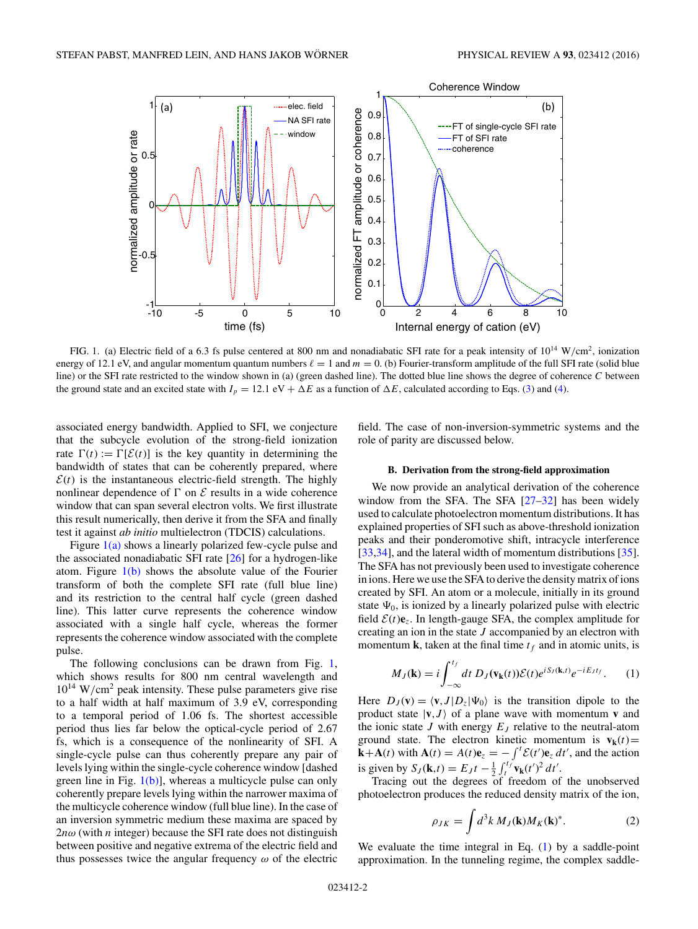<span id="page-1-0"></span>

FIG. 1. (a) Electric field of a 6.3 fs pulse centered at 800 nm and nonadiabatic SFI rate for a peak intensity of 10<sup>14</sup> W*/*cm2, ionization energy of 12.1 eV, and angular momentum quantum numbers  $\ell = 1$  and  $m = 0$ . (b) Fourier-transform amplitude of the full SFI rate (solid blue line) or the SFI rate restricted to the window shown in (a) (green dashed line). The dotted blue line shows the degree of coherence *C* between the ground state and an excited state with  $I_p = 12.1 \text{ eV} + \Delta E$  as a function of  $\Delta E$ , calculated according to Eqs. [\(3\)](#page-2-0) and [\(4\)](#page-2-0).

associated energy bandwidth. Applied to SFI, we conjecture that the subcycle evolution of the strong-field ionization rate  $\Gamma(t) := \Gamma[\mathcal{E}(t)]$  is the key quantity in determining the bandwidth of states that can be coherently prepared, where  $\mathcal{E}(t)$  is the instantaneous electric-field strength. The highly nonlinear dependence of  $\Gamma$  on  $\mathcal E$  results in a wide coherence window that can span several electron volts. We first illustrate this result numerically, then derive it from the SFA and finally test it against *ab initio* multielectron (TDCIS) calculations.

Figure  $1(a)$  shows a linearly polarized few-cycle pulse and the associated nonadiabatic SFI rate [\[26\]](#page-4-0) for a hydrogen-like atom. Figure  $1(b)$  shows the absolute value of the Fourier transform of both the complete SFI rate (full blue line) and its restriction to the central half cycle (green dashed line). This latter curve represents the coherence window associated with a single half cycle, whereas the former represents the coherence window associated with the complete pulse.

The following conclusions can be drawn from Fig. 1, which shows results for 800 nm central wavelength and  $10^{14}$  W/cm<sup>2</sup> peak intensity. These pulse parameters give rise to a half width at half maximum of 3.9 eV, corresponding to a temporal period of 1.06 fs. The shortest accessible period thus lies far below the optical-cycle period of 2.67 fs, which is a consequence of the nonlinearity of SFI. A single-cycle pulse can thus coherently prepare any pair of levels lying within the single-cycle coherence window [dashed green line in Fig.  $1(b)$ ], whereas a multicycle pulse can only coherently prepare levels lying within the narrower maxima of the multicycle coherence window (full blue line). In the case of an inversion symmetric medium these maxima are spaced by 2*nω* (with *n* integer) because the SFI rate does not distinguish between positive and negative extrema of the electric field and thus possesses twice the angular frequency *ω* of the electric

field. The case of non-inversion-symmetric systems and the role of parity are discussed below.

### **B. Derivation from the strong-field approximation**

We now provide an analytical derivation of the coherence window from the SFA. The SFA  $[27-32]$  has been widely used to calculate photoelectron momentum distributions. It has explained properties of SFI such as above-threshold ionization peaks and their ponderomotive shift, intracycle interference  $[33,34]$ , and the lateral width of momentum distributions  $[35]$ . The SFA has not previously been used to investigate coherence in ions. Here we use the SFA to derive the density matrix of ions created by SFI. An atom or a molecule, initially in its ground state  $\Psi_0$ , is ionized by a linearly polarized pulse with electric field  $\mathcal{E}(t)\mathbf{e}_7$ . In length-gauge SFA, the complex amplitude for creating an ion in the state *J* accompanied by an electron with momentum **k**, taken at the final time  $t_f$  and in atomic units, is

$$
M_J(\mathbf{k}) = i \int_{-\infty}^{t_f} dt \ D_J(\mathbf{v}_{\mathbf{k}}(t)) \mathcal{E}(t) e^{i S_J(\mathbf{k},t)} e^{-i E_J t_f}.
$$
 (1)

Here  $D_J(\mathbf{v}) = \langle \mathbf{v}, J | D_z | \Psi_0 \rangle$  is the transition dipole to the product state  $|\mathbf{v}, J\rangle$  of a plane wave with momentum **v** and the ionic state *J* with energy  $E_J$  relative to the neutral-atom ground state. The electron kinetic momentum is  $\mathbf{v}_k(t)$  =  $\mathbf{k} + \mathbf{A}(t)$  with  $\mathbf{A}(t) = A(t)\mathbf{e}_z = -\int^t \mathcal{E}(t')\mathbf{e}_z dt'$ , and the action is given by  $S_J(\mathbf{k}, t) = E_J t - \frac{1}{2} \int_t^{t_f} \mathbf{v}_{\mathbf{k}}(t')^2 dt'$ .

Tracing out the degrees of freedom of the unobserved photoelectron produces the reduced density matrix of the ion,

$$
\rho_{JK} = \int d^3k \, M_J(\mathbf{k}) M_K(\mathbf{k})^*.
$$
 (2)

We evaluate the time integral in Eq.  $(1)$  by a saddle-point approximation. In the tunneling regime, the complex saddle-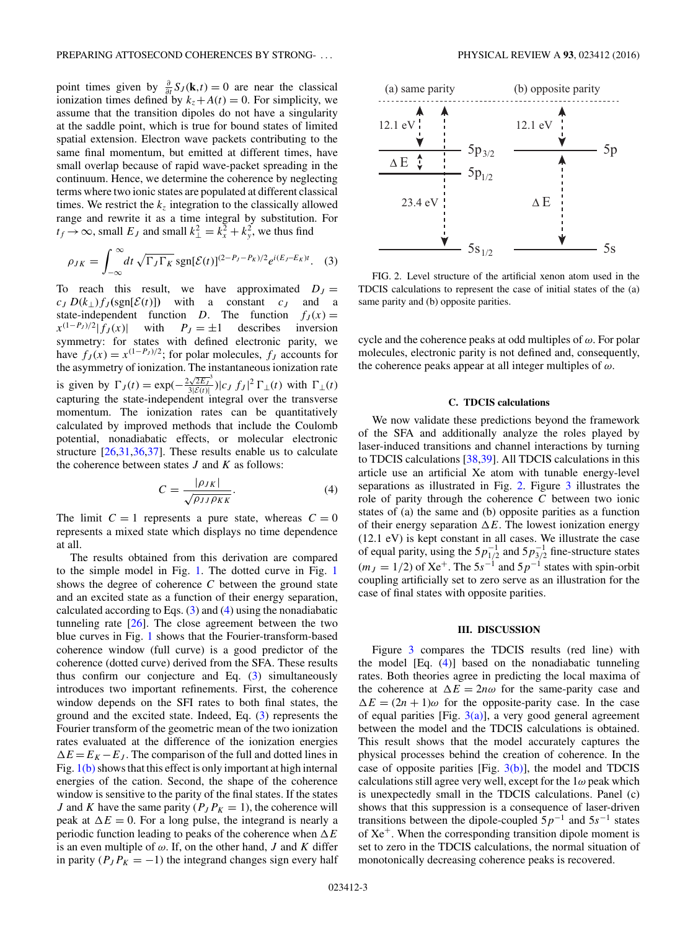<span id="page-2-0"></span>point times given by  $\frac{\partial}{\partial t} S_J(\mathbf{k}, t) = 0$  are near the classical ionization times defined by  $k_z + A(t) = 0$ . For simplicity, we assume that the transition dipoles do not have a singularity at the saddle point, which is true for bound states of limited spatial extension. Electron wave packets contributing to the same final momentum, but emitted at different times, have small overlap because of rapid wave-packet spreading in the continuum. Hence, we determine the coherence by neglecting terms where two ionic states are populated at different classical times. We restrict the  $k<sub>z</sub>$  integration to the classically allowed range and rewrite it as a time integral by substitution. For  $t_f \rightarrow \infty$ , small  $E_J$  and small  $k_{\perp}^2 = k_x^2 + k_y^2$ , we thus find

$$
\rho_{JK} = \int_{-\infty}^{\infty} dt \sqrt{\Gamma_J \Gamma_K} \operatorname{sgn}[\mathcal{E}(t)]^{(2-P_J - P_K)/2} e^{i(E_J - E_K)t}.
$$
 (3)

To reach this result, we have approximated  $D_J =$  $c_J D(k_{\perp}) f_J(\text{sgn}[\mathcal{E}(t)])$  with a constant  $c_J$  and a state-independent function *D*. The function  $f_J(x) = x^{(1-P_J)/2} |f_J(x)|$  with  $P_J = \pm 1$  describes inversion  $x^{(1-P_J)/2} |f_J(x)|$  with symmetry: for states with defined electronic parity, we have  $f_J(x) = x^{(1-P_J)/2}$ ; for polar molecules,  $f_J$  accounts for the asymmetry of ionization. The instantaneous ionization rate is given by  $\Gamma_J(t) = \exp(-\frac{2\sqrt{2E_J}^3}{3|\mathcal{E}(t)|})|c_J f_J|^2 \Gamma_{\perp}(t)$  with  $\Gamma_{\perp}(t)$ capturing the state-independent integral over the transverse momentum. The ionization rates can be quantitatively calculated by improved methods that include the Coulomb potential, nonadiabatic effects, or molecular electronic structure [\[26,31,36,37\]](#page-4-0). These results enable us to calculate the coherence between states *J* and *K* as follows:

$$
C = \frac{|\rho_{JK}|}{\sqrt{\rho_{JJ}\rho_{KK}}}.\tag{4}
$$

The limit  $C = 1$  represents a pure state, whereas  $C = 0$ represents a mixed state which displays no time dependence at all.

The results obtained from this derivation are compared to the simple model in Fig. [1.](#page-1-0) The dotted curve in Fig. [1](#page-1-0) shows the degree of coherence *C* between the ground state and an excited state as a function of their energy separation, calculated according to Eqs.  $(3)$  and  $(4)$  using the nonadiabatic tunneling rate [\[26\]](#page-4-0). The close agreement between the two blue curves in Fig. [1](#page-1-0) shows that the Fourier-transform-based coherence window (full curve) is a good predictor of the coherence (dotted curve) derived from the SFA. These results thus confirm our conjecture and Eq. (3) simultaneously introduces two important refinements. First, the coherence window depends on the SFI rates to both final states, the ground and the excited state. Indeed, Eq. (3) represents the Fourier transform of the geometric mean of the two ionization rates evaluated at the difference of the ionization energies  $\Delta E = E_K - E_J$ . The comparison of the full and dotted lines in Fig.  $1(b)$  shows that this effect is only important at high internal energies of the cation. Second, the shape of the coherence window is sensitive to the parity of the final states. If the states *J* and *K* have the same parity ( $P_J P_K = 1$ ), the coherence will peak at  $\Delta E = 0$ . For a long pulse, the integrand is nearly a periodic function leading to peaks of the coherence when  $\Delta E$ is an even multiple of  $\omega$ . If, on the other hand, *J* and *K* differ in parity  $(P_J P_K = -1)$  the integrand changes sign every half



FIG. 2. Level structure of the artificial xenon atom used in the TDCIS calculations to represent the case of initial states of the (a) same parity and (b) opposite parities.

cycle and the coherence peaks at odd multiples of *ω*. For polar molecules, electronic parity is not defined and, consequently, the coherence peaks appear at all integer multiples of *ω*.

# **C. TDCIS calculations**

We now validate these predictions beyond the framework of the SFA and additionally analyze the roles played by laser-induced transitions and channel interactions by turning to TDCIS calculations [\[38,39\]](#page-4-0). All TDCIS calculations in this article use an artificial Xe atom with tunable energy-level separations as illustrated in Fig. 2. Figure [3](#page-3-0) illustrates the role of parity through the coherence *C* between two ionic states of (a) the same and (b) opposite parities as a function of their energy separation  $\Delta E$ . The lowest ionization energy (12.1 eV) is kept constant in all cases. We illustrate the case of equal parity, using the  $5p_{1/2}^{-1}$  and  $5p_{3/2}^{-1}$  fine-structure states  $(m_J = 1/2)$  of Xe<sup>+</sup>. The 5*s*<sup>-1</sup> and 5*p*<sup>-1</sup> states with spin-orbit coupling artificially set to zero serve as an illustration for the case of final states with opposite parities.

### **III. DISCUSSION**

Figure [3](#page-3-0) compares the TDCIS results (red line) with the model [Eq. (4)] based on the nonadiabatic tunneling rates. Both theories agree in predicting the local maxima of the coherence at  $\Delta E = 2n\omega$  for the same-parity case and  $\Delta E = (2n + 1)\omega$  for the opposite-parity case. In the case of equal parities [Fig.  $3(a)$ ], a very good general agreement between the model and the TDCIS calculations is obtained. This result shows that the model accurately captures the physical processes behind the creation of coherence. In the case of opposite parities [Fig.  $3(b)$ ], the model and TDCIS calculations still agree very well, except for the 1*ω* peak which is unexpectedly small in the TDCIS calculations. Panel (c) shows that this suppression is a consequence of laser-driven transitions between the dipole-coupled 5*p*−<sup>1</sup> and 5*s*−<sup>1</sup> states of  $Xe<sup>+</sup>$ . When the corresponding transition dipole moment is set to zero in the TDCIS calculations, the normal situation of monotonically decreasing coherence peaks is recovered.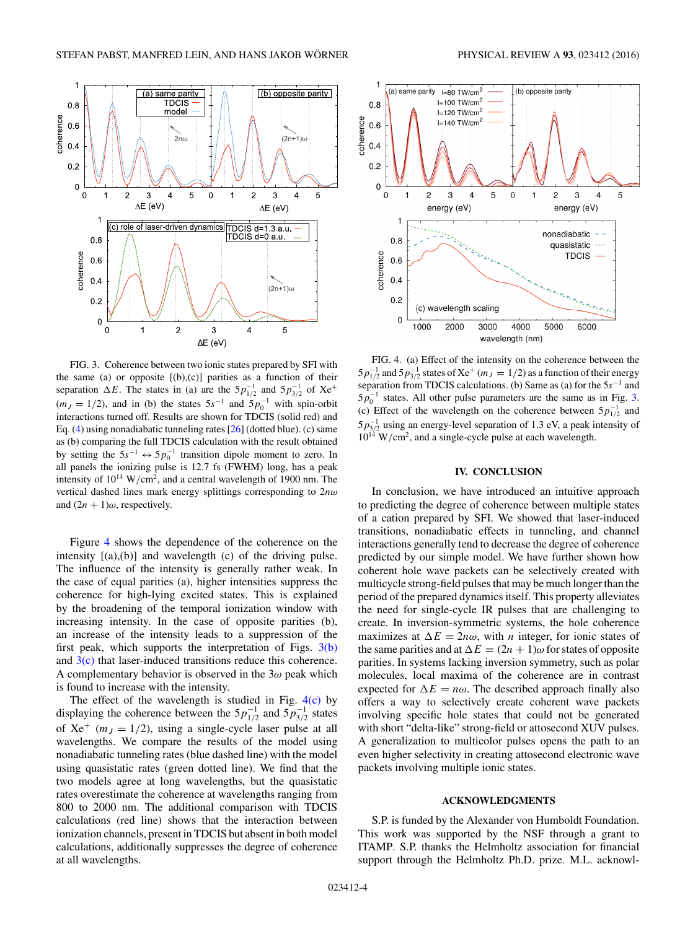<span id="page-3-0"></span>

FIG. 3. Coherence between two ionic states prepared by SFI with the same (a) or opposite  $[(b),(c)]$  parities as a function of their separation  $\Delta E$ . The states in (a) are the  $5p_{1/2}^{-1}$  and  $5p_{3/2}^{-1}$  of  $Xe^{+}$  $(m_J = 1/2)$ , and in (b) the states  $5s^{-1}$  and  $5p_0^{-1}$  with spin-orbit interactions turned off. Results are shown for TDCIS (solid red) and Eq. [\(4\)](#page-2-0) using nonadiabatic tunneling rates [\[26\]](#page-4-0) (dotted blue). (c) same as (b) comparing the full TDCIS calculation with the result obtained by setting the  $5s^{-1} \leftrightarrow 5p_0^{-1}$  transition dipole moment to zero. In all panels the ionizing pulse is 12.7 fs (FWHM) long, has a peak intensity of  $10^{14}$  W/cm<sup>2</sup>, and a central wavelength of 1900 nm. The vertical dashed lines mark energy splittings corresponding to 2*nω* and  $(2n + 1)\omega$ , respectively.

Figure 4 shows the dependence of the coherence on the intensity  $[(a),(b)]$  and wavelength  $(c)$  of the driving pulse. The influence of the intensity is generally rather weak. In the case of equal parities (a), higher intensities suppress the coherence for high-lying excited states. This is explained by the broadening of the temporal ionization window with increasing intensity. In the case of opposite parities (b), an increase of the intensity leads to a suppression of the first peak, which supports the interpretation of Figs.  $3(b)$ and  $3(c)$  that laser-induced transitions reduce this coherence. A complementary behavior is observed in the 3*ω* peak which is found to increase with the intensity.

The effect of the wavelength is studied in Fig.  $4(c)$  by displaying the coherence between the  $5p_{1/2}^{-1}$  and  $5p_{3/2}^{-1}$  states of  $Xe^+$  ( $m_J = 1/2$ ), using a single-cycle laser pulse at all wavelengths. We compare the results of the model using nonadiabatic tunneling rates (blue dashed line) with the model using quasistatic rates (green dotted line). We find that the two models agree at long wavelengths, but the quasistatic rates overestimate the coherence at wavelengths ranging from 800 to 2000 nm. The additional comparison with TDCIS calculations (red line) shows that the interaction between ionization channels, present in TDCIS but absent in both model calculations, additionally suppresses the degree of coherence at all wavelengths.



FIG. 4. (a) Effect of the intensity on the coherence between the  $5p_{1/2}^{-1}$  and  $5p_{3/2}^{-1}$  states of Xe<sup>+</sup> ( $m_J = 1/2$ ) as a function of their energy separation from TDCIS calculations. (b) Same as (a) for the 5*s*−<sup>1</sup> and  $5p_0^{-1}$  states. All other pulse parameters are the same as in Fig. 3. (c) Effect of the wavelength on the coherence between  $5p_{1/2}^{-1}$  and 5*p*<sup>-1</sup><sub>3/2</sub> using an energy-level separation of 1.3 eV, a peak intensity of  $10^{14}$  W/cm<sup>2</sup>, and a single-cycle pulse at each wavelength.

### **IV. CONCLUSION**

In conclusion, we have introduced an intuitive approach to predicting the degree of coherence between multiple states of a cation prepared by SFI. We showed that laser-induced transitions, nonadiabatic effects in tunneling, and channel interactions generally tend to decrease the degree of coherence predicted by our simple model. We have further shown how coherent hole wave packets can be selectively created with multicycle strong-field pulses that may be much longer than the period of the prepared dynamics itself. This property alleviates the need for single-cycle IR pulses that are challenging to create. In inversion-symmetric systems, the hole coherence maximizes at  $\Delta E = 2n\omega$ , with *n* integer, for ionic states of the same parities and at  $\Delta E = (2n + 1)\omega$  for states of opposite parities. In systems lacking inversion symmetry, such as polar molecules, local maxima of the coherence are in contrast expected for  $\Delta E = n\omega$ . The described approach finally also offers a way to selectively create coherent wave packets involving specific hole states that could not be generated with short "delta-like" strong-field or attosecond XUV pulses. A generalization to multicolor pulses opens the path to an even higher selectivity in creating attosecond electronic wave packets involving multiple ionic states.

# **ACKNOWLEDGMENTS**

S.P. is funded by the Alexander von Humboldt Foundation. This work was supported by the NSF through a grant to ITAMP. S.P. thanks the Helmholtz association for financial support through the Helmholtz Ph.D. prize. M.L. acknowl